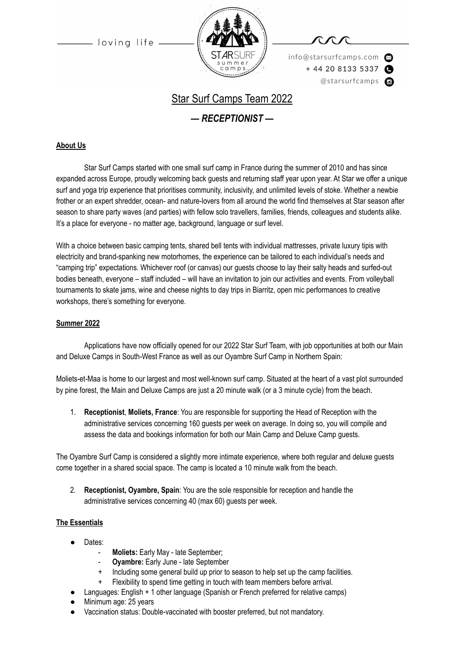loving life



info@starsurfcamps.com  $+442081335337$ @starsurfcamps @

# Star Surf Camps Team 2022

*— RECEPTIONIST —*

#### **About Us**

Star Surf Camps started with one small surf camp in France during the summer of 2010 and has since expanded across Europe, proudly welcoming back guests and returning staff year upon year. At Star we offer a unique surf and yoga trip experience that prioritises community, inclusivity, and unlimited levels of stoke. Whether a newbie frother or an expert shredder, ocean- and nature-lovers from all around the world find themselves at Star season after season to share party waves (and parties) with fellow solo travellers, families, friends, colleagues and students alike. It's a place for everyone - no matter age, background, language or surf level.

With a choice between basic camping tents, shared bell tents with individual mattresses, private luxury tipis with electricity and brand-spanking new motorhomes, the experience can be tailored to each individual's needs and "camping trip" expectations. Whichever roof (or canvas) our guests choose to lay their salty heads and surfed-out bodies beneath, everyone – staff included – will have an invitation to join our activities and events. From volleyball tournaments to skate jams, wine and cheese nights to day trips in Biarritz, open mic performances to creative workshops, there's something for everyone.

#### **Summer 2022**

Applications have now officially opened for our 2022 Star Surf Team, with job opportunities at both our Main and Deluxe Camps in South-West France as well as our Oyambre Surf Camp in Northern Spain:

Moliets-et-Maa is home to our largest and most well-known surf camp. Situated at the heart of a vast plot surrounded by pine forest, the Main and Deluxe Camps are just a 20 minute walk (or a 3 minute cycle) from the beach.

1. **Receptionist**, **Moliets, France**: You are responsible for supporting the Head of Reception with the administrative services concerning 160 guests per week on average. In doing so, you will compile and assess the data and bookings information for both our Main Camp and Deluxe Camp guests.

The Oyambre Surf Camp is considered a slightly more intimate experience, where both regular and deluxe guests come together in a shared social space. The camp is located a 10 minute walk from the beach.

2. **Receptionist, Oyambre, Spain**: You are the sole responsible for reception and handle the administrative services concerning 40 (max 60) guests per week.

#### **The Essentials**

- Dates:
	- Moliets: Early May late September;
	- **Oyambre:** Early June late September
	- Including some general build up prior to season to help set up the camp facilities.
	- Flexibility to spend time getting in touch with team members before arrival.
- Languages: English + 1 other language (Spanish or French preferred for relative camps)
- Minimum age: 25 years
- Vaccination status: Double-vaccinated with booster preferred, but not mandatory.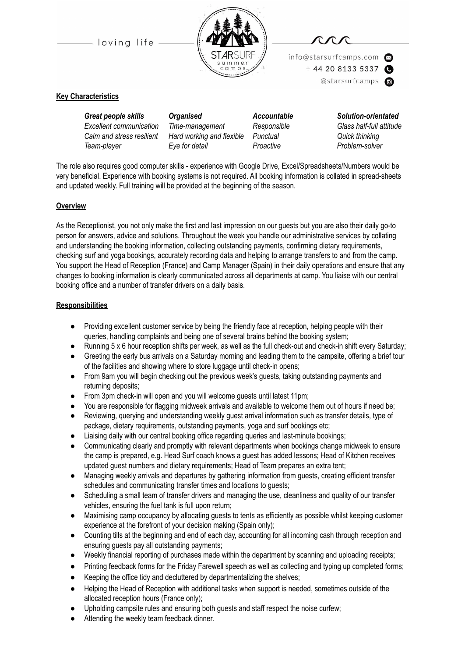-loving life





info@starsurfcamps.com  $+442081335337$ @starsurfcamps @

#### **Key Characteristics**

*Great people skills Organised Accountable Solution-orientated Excellent communication Time-management Responsible Glass half-full attitude Calm and stress resilient Hard working and flexible Punctual Quick thinking Team-player Eye for detail Proactive Problem-solver*

The role also requires good computer skills - experience with Google Drive, Excel/Spreadsheets/Numbers would be very beneficial. Experience with booking systems is not required. All booking information is collated in spread-sheets and updated weekly. Full training will be provided at the beginning of the season.

#### **Overview**

As the Receptionist, you not only make the first and last impression on our guests but you are also their daily go-to person for answers, advice and solutions. Throughout the week you handle our administrative services by collating and understanding the booking information, collecting outstanding payments, confirming dietary requirements, checking surf and yoga bookings, accurately recording data and helping to arrange transfers to and from the camp. You support the Head of Reception (France) and Camp Manager (Spain) in their daily operations and ensure that any changes to booking information is clearly communicated across all departments at camp. You liaise with our central booking office and a number of transfer drivers on a daily basis.

#### **Responsibilities**

- Providing excellent customer service by being the friendly face at reception, helping people with their queries, handling complaints and being one of several brains behind the booking system;
- $\bullet$  Running 5 x 6 hour reception shifts per week, as well as the full check-out and check-in shift every Saturday;
- Greeting the early bus arrivals on a Saturday morning and leading them to the campsite, offering a brief tour of the facilities and showing where to store luggage until check-in opens;
- From 9am you will begin checking out the previous week's guests, taking outstanding payments and returning deposits;
- From 3pm check-in will open and you will welcome guests until latest 11pm;
- You are responsible for flagging midweek arrivals and available to welcome them out of hours if need be;
- Reviewing, querying and understanding weekly guest arrival information such as transfer details, type of package, dietary requirements, outstanding payments, yoga and surf bookings etc;
- Liaising daily with our central booking office regarding queries and last-minute bookings;
- Communicating clearly and promptly with relevant departments when bookings change midweek to ensure the camp is prepared, e.g. Head Surf coach knows a guest has added lessons; Head of Kitchen receives updated guest numbers and dietary requirements; Head of Team prepares an extra tent;
- Managing weekly arrivals and departures by gathering information from guests, creating efficient transfer schedules and communicating transfer times and locations to guests;
- Scheduling a small team of transfer drivers and managing the use, cleanliness and quality of our transfer vehicles, ensuring the fuel tank is full upon return;
- Maximising camp occupancy by allocating guests to tents as efficiently as possible whilst keeping customer experience at the forefront of your decision making (Spain only);
- Counting tills at the beginning and end of each day, accounting for all incoming cash through reception and ensuring guests pay all outstanding payments;
- Weekly financial reporting of purchases made within the department by scanning and uploading receipts;
- Printing feedback forms for the Friday Farewell speech as well as collecting and typing up completed forms;
- Keeping the office tidy and decluttered by departmentalizing the shelves;
- Helping the Head of Reception with additional tasks when support is needed, sometimes outside of the allocated reception hours (France only);
- Upholding campsite rules and ensuring both guests and staff respect the noise curfew;
- Attending the weekly team feedback dinner.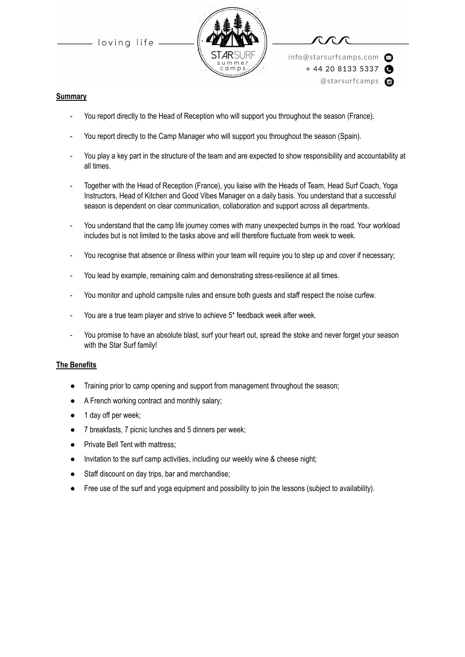loving life



info@starsurfcamps.com  $+442081335337$ @starsurfcamps @

#### **Summary**

- You report directly to the Head of Reception who will support you throughout the season (France).
- You report directly to the Camp Manager who will support you throughout the season (Spain).
- You play a key part in the structure of the team and are expected to show responsibility and accountability at all times.
- Together with the Head of Reception (France), you liaise with the Heads of Team, Head Surf Coach, Yoga Instructors, Head of Kitchen and Good Vibes Manager on a daily basis. You understand that a successful season is dependent on clear communication, collaboration and support across all departments.
- You understand that the camp life journey comes with many unexpected bumps in the road. Your workload includes but is not limited to the tasks above and will therefore fluctuate from week to week.
- You recognise that absence or illness within your team will require you to step up and cover if necessary;
- You lead by example, remaining calm and demonstrating stress-resilience at all times.
- You monitor and uphold campsite rules and ensure both guests and staff respect the noise curfew.
- You are a true team player and strive to achieve 5\* feedback week after week.
- You promise to have an absolute blast, surf your heart out, spread the stoke and never forget your season with the Star Surf family!

#### **The Benefits**

- Training prior to camp opening and support from management throughout the season;
- A French working contract and monthly salary;
- 1 day off per week;
- 7 breakfasts, 7 picnic lunches and 5 dinners per week;
- Private Bell Tent with mattress;
- Invitation to the surf camp activities, including our weekly wine & cheese night;
- Staff discount on day trips, bar and merchandise;
- Free use of the surf and yoga equipment and possibility to join the lessons (subject to availability).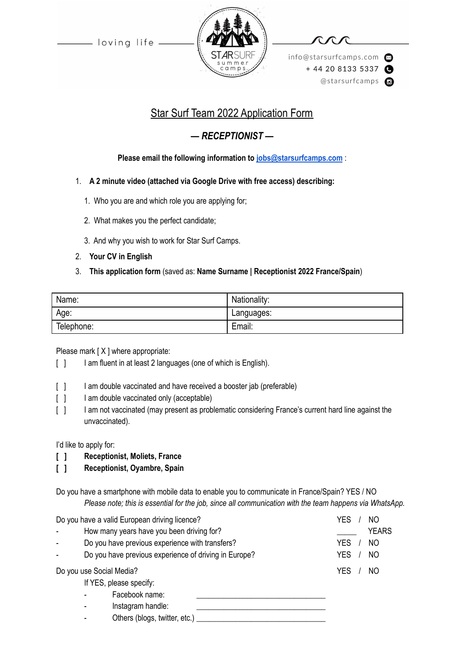- loving life -



info@starsurfcamps.com  $+442081335337$ @starsurfcamps @

# Star Surf Team 2022 Application Form

# *— RECEPTIONIST —*

## **Please email the following information to [jobs@starsurfcamps.com](mailto:jobs@starsurfcamps.com)** :

### 1. **A 2 minute video (attached via Google Drive with free access) describing:**

- 1️. Who you are and which role you are applying for;
- 2. What makes you the perfect candidate;
- 3️. And why you wish to work for Star Surf Camps.
- 2. **Your CV in English**
- 3. **This application form** (saved as: **Name Surname | Receptionist 2022 France/Spain**)

| Name:      | Nationality: |
|------------|--------------|
| Age:       | Languages:   |
| Telephone: | Email:       |

### Please mark [X ] where appropriate:

- [ ] I am fluent in at least 2 languages (one of which is English).
- [ ] I am double vaccinated and have received a booster jab (preferable)
- [ ] I am double vaccinated only (acceptable)
- [ ] I am not vaccinated (may present as problematic considering France's current hard line against the unvaccinated).

I'd like to apply for:

- **[ ] Receptionist, Moliets, France**
- **[ ] Receptionist, Oyambre, Spain**

Do you have a smartphone with mobile data to enable you to communicate in France/Spain? YES / NO *Please note; this is essential for the job, since all communication with the team happens via WhatsApp.*

| Do you have a valid European driving licence? |                                                       | YES<br>NO                    |
|-----------------------------------------------|-------------------------------------------------------|------------------------------|
|                                               | How many years have you been driving for?             | <b>YEARS</b>                 |
|                                               | Do you have previous experience with transfers?       | <b>YES</b><br>N <sub>O</sub> |
|                                               | Do you have previous experience of driving in Europe? | <b>YES</b><br>N <sub>O</sub> |
| Do you use Social Media?                      |                                                       | <b>YES</b><br>NO             |
|                                               | If YES, please specify:                               |                              |
|                                               | Facebook name:                                        |                              |
|                                               | Instagram handle:                                     |                              |
|                                               | Others (blogs, twitter, etc.)                         |                              |